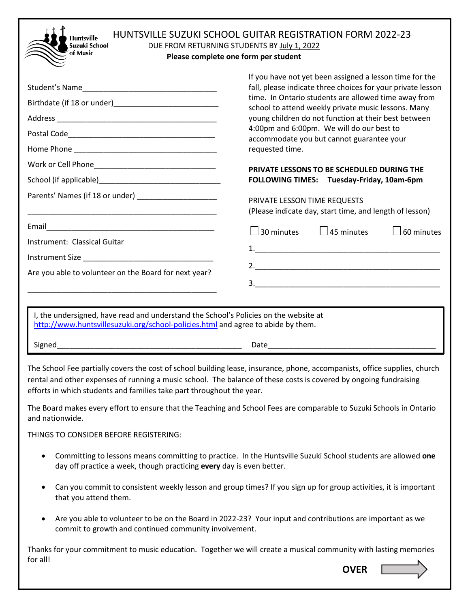| <b>HUNTSVILLE SUZUKI SCHOOL GUITAR REGISTRATION FORM 2022-23</b><br><b>Huntsville</b><br>Suzuki School<br>DUE FROM RETURNING STUDENTS BY July 1, 2022<br>of Music<br>Please complete one form per student |                                                                                                                                                                                                                                                                                                                                                                                                                                                          |  |  |
|-----------------------------------------------------------------------------------------------------------------------------------------------------------------------------------------------------------|----------------------------------------------------------------------------------------------------------------------------------------------------------------------------------------------------------------------------------------------------------------------------------------------------------------------------------------------------------------------------------------------------------------------------------------------------------|--|--|
| Student's Name                                                                                                                                                                                            | If you have not yet been assigned a lesson time for the<br>fall, please indicate three choices for your private lesson<br>time. In Ontario students are allowed time away from<br>school to attend weekly private music lessons. Many<br>young children do not function at their best between<br>4:00pm and 6:00pm. We will do our best to<br>accommodate you but cannot guarantee your<br>requested time.<br>PRIVATE LESSONS TO BE SCHEDULED DURING THE |  |  |
|                                                                                                                                                                                                           | FOLLOWING TIMES: Tuesday-Friday, 10am-6pm                                                                                                                                                                                                                                                                                                                                                                                                                |  |  |
| Parents' Names (if 18 or under) [19] Darents' Names (if 18 or under)<br><u> 1989 - Johann John Stein, markin film yn y brening yn y brening yn y brening yn y brening yn y brening yn y b</u>             | PRIVATE LESSON TIME REQUESTS<br>(Please indicate day, start time, and length of lesson)                                                                                                                                                                                                                                                                                                                                                                  |  |  |
|                                                                                                                                                                                                           | $\Box$ 45 minutes<br>$\Box$ 30 minutes<br>$\Box$ 60 minutes                                                                                                                                                                                                                                                                                                                                                                                              |  |  |
| Instrument: Classical Guitar<br>Instrument Size                                                                                                                                                           |                                                                                                                                                                                                                                                                                                                                                                                                                                                          |  |  |
| Are you able to volunteer on the Board for next year?                                                                                                                                                     | 3.                                                                                                                                                                                                                                                                                                                                                                                                                                                       |  |  |
| I, the undersigned, have read and understand the School's Policies on the website at<br>http://www.huntsvillesuzuki.org/school-policies.html and agree to abide by them.                                  |                                                                                                                                                                                                                                                                                                                                                                                                                                                          |  |  |
| Signed                                                                                                                                                                                                    | Date <u>______________________</u>                                                                                                                                                                                                                                                                                                                                                                                                                       |  |  |

The School Fee partially covers the cost of school building lease, insurance, phone, accompanists, office supplies, church rental and other expenses of running a music school. The balance of these costs is covered by ongoing fundraising efforts in which students and families take part throughout the year.

The Board makes every effort to ensure that the Teaching and School Fees are comparable to Suzuki Schools in Ontario and nationwide.

THINGS TO CONSIDER BEFORE REGISTERING:

- Committing to lessons means committing to practice. In the Huntsville Suzuki School students are allowed **one** day off practice a week, though practicing **every** day is even better.
- Can you commit to consistent weekly lesson and group times? If you sign up for group activities, it is important that you attend them.
- Are you able to volunteer to be on the Board in 2022-23? Your input and contributions are important as we commit to growth and continued community involvement.

Thanks for your commitment to music education. Together we will create a musical community with lasting memories for all!

**OVER**